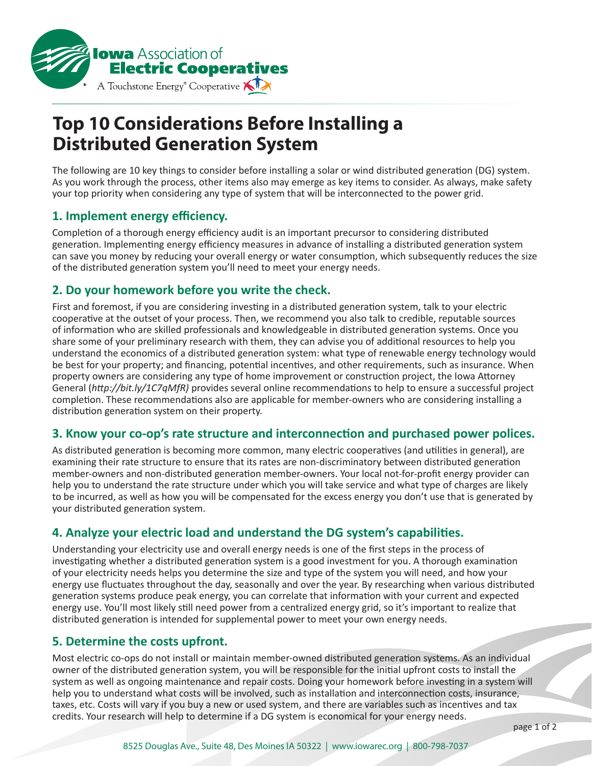

# **Top 10 Considerations Before Installing a Distributed Generation System**

The following are 10 key things to consider before installing a solar or wind distributed generation (DG) system. As you work through the process, other items also may emerge as key items to consider. As always, make safety your top priority when considering any type of system that will be interconnected to the power grid.

# **1. Implement energy efficiency.**

Completion of a thorough energy efficiency audit is an important precursor to considering distributed generation. Implementing energy efficiency measures in advance of installing a distributed generation system can save you money by reducing your overall energy or water consumption, which subsequently reduces the size of the distributed generation system you'll need to meet your energy needs.

# **2. Do your homework before you write the check.**

First and foremost, if you are considering investing in a distributed generation system, talk to your electric cooperative at the outset of your process. Then, we recommend you also talk to credible, reputable sources of information who are skilled professionals and knowledgeable in distributed generation systems. Once you share some of your preliminary research with them, they can advise you of additional resources to help you understand the economics of a distributed generation system: what type of renewable energy technology would be best for your property; and financing, potential incentives, and other requirements, such as insurance. When property owners are considering any type of home improvement or construction project, the Iowa Attorney General (*http://bit.ly/1C7qMfR)* provides several online recommendations to help to ensure a successful project completion. These recommendations also are applicable for member-owners who are considering installing a distribution generation system on their property.

# **3. Know your co-op's rate structure and interconnection and purchased power polices.**

As distributed generation is becoming more common, many electric cooperatives (and utilities in general), are examining their rate structure to ensure that its rates are non-discriminatory between distributed generation member-owners and non-distributed generation member-owners. Your local not-for-profit energy provider can help you to understand the rate structure under which you will take service and what type of charges are likely to be incurred, as well as how you will be compensated for the excess energy you don't use that is generated by your distributed generation system.

# **4. Analyze your electric load and understand the DG system's capabilities.**

Understanding your electricity use and overall energy needs is one of the first steps in the process of investigating whether a distributed generation system is a good investment for you. A thorough examination of your electricity needs helps you determine the size and type of the system you will need, and how your energy use fluctuates throughout the day, seasonally and over the year. By researching when various distributed generation systems produce peak energy, you can correlate that information with your current and expected energy use. You'll most likely still need power from a centralized energy grid, so it's important to realize that distributed generation is intended for supplemental power to meet your own energy needs.

# **5. Determine the costs upfront.**

Most electric co-ops do not install or maintain member-owned distributed generation systems. As an individual owner of the distributed generation system, you will be responsible for the initial upfront costs to install the system as well as ongoing maintenance and repair costs. Doing your homework before investing in a system will help you to understand what costs will be involved, such as installation and interconnection costs, insurance, taxes, etc. Costs will vary if you buy a new or used system, and there are variables such as incentives and tax credits. Your research will help to determine if a DG system is economical for your energy needs.